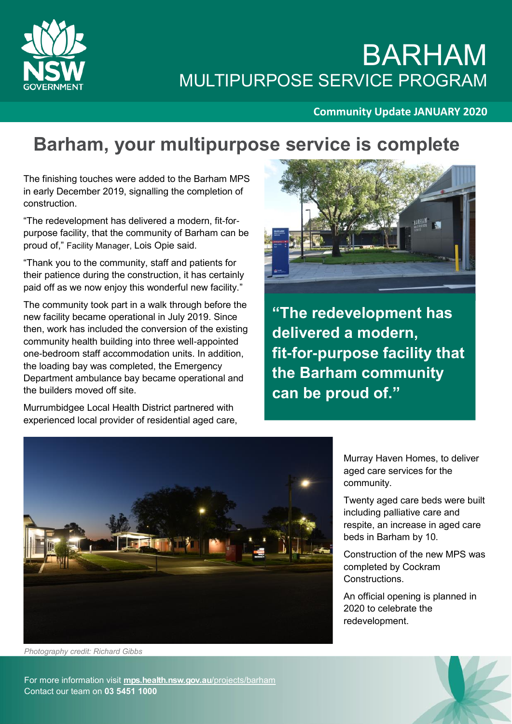

## BARHAM MULTIPURPOSE SERVICE PROGRAM

#### **Community Update JANUARY 2020**

### **Barham, your multipurpose service is complete**

The finishing touches were added to the Barham MPS in early December 2019, signalling the completion of construction.

"The redevelopment has delivered a modern, fit-forpurpose facility, that the community of Barham can be proud of," Facility Manager, Lois Opie said.

"Thank you to the community, staff and patients for their patience during the construction, it has certainly paid off as we now enjoy this wonderful new facility."

The community took part in a walk through before the new facility became operational in July 2019. Since then, work has included the conversion of the existing community health building into three well-appointed one-bedroom staff accommodation units. In addition, the loading bay was completed, the Emergency Department ambulance bay became operational and the builders moved off site.

Murrumbidgee Local Health District partnered with experienced local provider of residential aged care,



**"The redevelopment has delivered a modern, fit-for-purpose facility that the Barham community can be proud of."** 



Murray Haven Homes, to deliver aged care services for the community.

Twenty aged care beds were built including palliative care and respite, an increase in aged care beds in Barham by 10.

Construction of the new MPS was completed by Cockram Constructions.

An official opening is planned in 2020 to celebrate the redevelopment.

*Photography credit: Richard Gibbs*

For more information visit **[mps.health.nsw.gov.au](http://www.snswlhd.health.nsw.gov.au/)**/projects/barham Contact our team on **03 5451 1000**